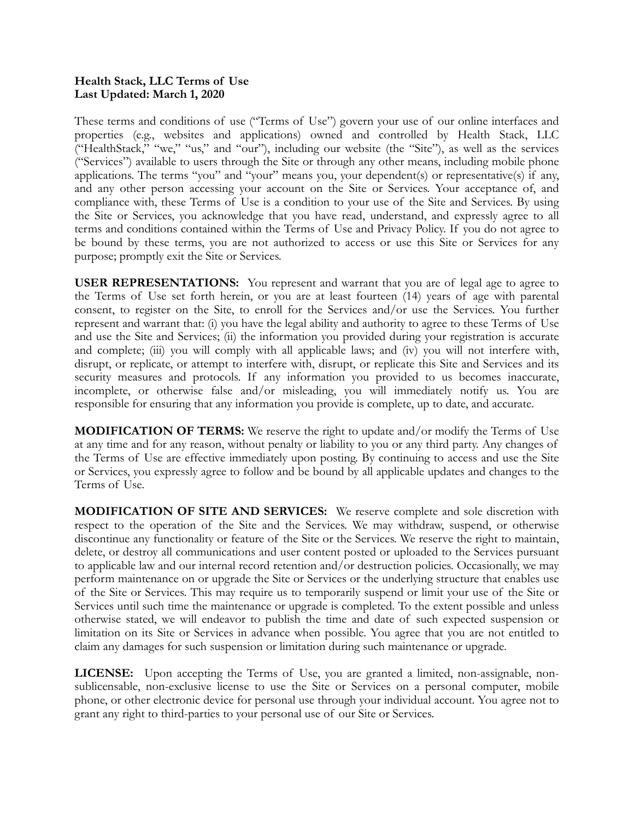## **Health Stack, LLC Terms of Use Last Updated: March 1, 2020**

These terms and conditions of use ("Terms of Use") govern your use of our online interfaces and properties (e.g., websites and applications) owned and controlled by Health Stack, LLC ("HealthStack," "we," "us," and "our"), including our website (the "Site"), as well as the services ("Services") available to users through the Site or through any other means, including mobile phone applications. The terms "you" and "your" means you, your dependent(s) or representative(s) if any, and any other person accessing your account on the Site or Services. Your acceptance of, and compliance with, these Terms of Use is a condition to your use of the Site and Services. By using the Site or Services, you acknowledge that you have read, understand, and expressly agree to all terms and conditions contained within the Terms of Use and Privacy Policy. If you do not agree to be bound by these terms, you are not authorized to access or use this Site or Services for any purpose; promptly exit the Site or Services.

**USER REPRESENTATIONS:** You represent and warrant that you are of legal age to agree to the Terms of Use set forth herein, or you are at least fourteen (14) years of age with parental consent, to register on the Site, to enroll for the Services and/or use the Services. You further represent and warrant that: (i) you have the legal ability and authority to agree to these Terms of Use and use the Site and Services; (ii) the information you provided during your registration is accurate and complete; (iii) you will comply with all applicable laws; and (iv) you will not interfere with, disrupt, or replicate, or attempt to interfere with, disrupt, or replicate this Site and Services and its security measures and protocols. If any information you provided to us becomes inaccurate, incomplete, or otherwise false and/or misleading, you will immediately notify us. You are responsible for ensuring that any information you provide is complete, up to date, and accurate.

**MODIFICATION OF TERMS:** We reserve the right to update and/or modify the Terms of Use at any time and for any reason, without penalty or liability to you or any third party. Any changes of the Terms of Use are effective immediately upon posting. By continuing to access and use the Site or Services, you expressly agree to follow and be bound by all applicable updates and changes to the Terms of Use.

**MODIFICATION OF SITE AND SERVICES:** We reserve complete and sole discretion with respect to the operation of the Site and the Services. We may withdraw, suspend, or otherwise discontinue any functionality or feature of the Site or the Services. We reserve the right to maintain, delete, or destroy all communications and user content posted or uploaded to the Services pursuant to applicable law and our internal record retention and/or destruction policies. Occasionally, we may perform maintenance on or upgrade the Site or Services or the underlying structure that enables use of the Site or Services. This may require us to temporarily suspend or limit your use of the Site or Services until such time the maintenance or upgrade is completed. To the extent possible and unless otherwise stated, we will endeavor to publish the time and date of such expected suspension or limitation on its Site or Services in advance when possible. You agree that you are not entitled to claim any damages for such suspension or limitation during such maintenance or upgrade.

**LICENSE:** Upon accepting the Terms of Use, you are granted a limited, non-assignable, nonsublicensable, non-exclusive license to use the Site or Services on a personal computer, mobile phone, or other electronic device for personal use through your individual account. You agree not to grant any right to third-parties to your personal use of our Site or Services.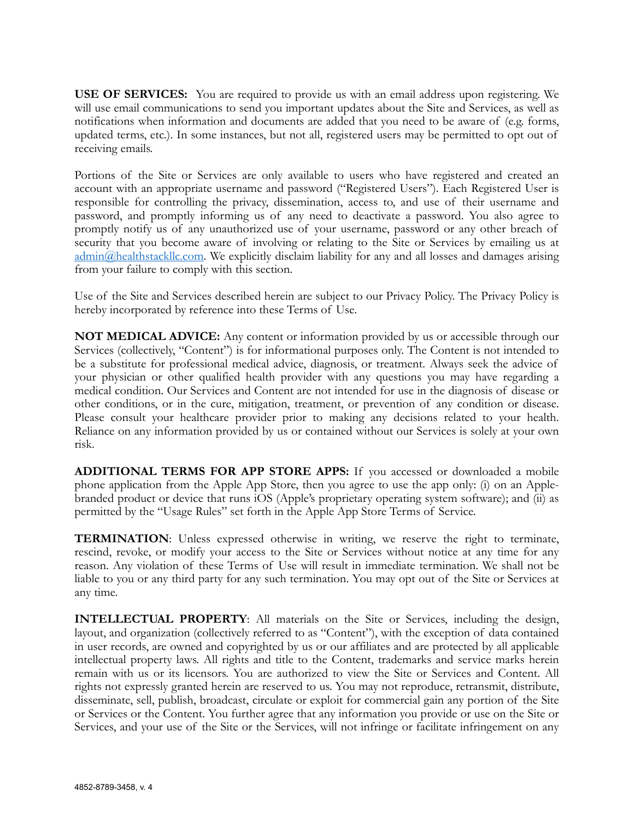**USE OF SERVICES:** You are required to provide us with an email address upon registering. We will use email communications to send you important updates about the Site and Services, as well as notifications when information and documents are added that you need to be aware of (e.g. forms, updated terms, etc.). In some instances, but not all, registered users may be permitted to opt out of receiving emails.

Portions of the Site or Services are only available to users who have registered and created an account with an appropriate username and password ("Registered Users"). Each Registered User is responsible for controlling the privacy, dissemination, access to, and use of their username and password, and promptly informing us of any need to deactivate a password. You also agree to promptly notify us of any unauthorized use of your username, password or any other breach of security that you become aware of involving or relating to the Site or Services by emailing us at [admin@healthstackllc.com.](mailto:admin@healthstackllc.com) We explicitly disclaim liability for any and all losses and damages arising from your failure to comply with this section.

Use of the Site and Services described herein are subject to our Privacy Policy. The Privacy Policy is hereby incorporated by reference into these Terms of Use.

**NOT MEDICAL ADVICE:** Any content or information provided by us or accessible through our Services (collectively, "Content") is for informational purposes only. The Content is not intended to be a substitute for professional medical advice, diagnosis, or treatment. Always seek the advice of your physician or other qualified health provider with any questions you may have regarding a medical condition. Our Services and Content are not intended for use in the diagnosis of disease or other conditions, or in the cure, mitigation, treatment, or prevention of any condition or disease. Please consult your healthcare provider prior to making any decisions related to your health. Reliance on any information provided by us or contained without our Services is solely at your own risk.

**ADDITIONAL TERMS FOR APP STORE APPS:** If you accessed or downloaded a mobile phone application from the Apple App Store, then you agree to use the app only: (i) on an Applebranded product or device that runs iOS (Apple's proprietary operating system software); and (ii) as permitted by the "Usage Rules" set forth in the Apple App Store Terms of Service.

**TERMINATION**: Unless expressed otherwise in writing, we reserve the right to terminate, rescind, revoke, or modify your access to the Site or Services without notice at any time for any reason. Any violation of these Terms of Use will result in immediate termination. We shall not be liable to you or any third party for any such termination. You may opt out of the Site or Services at any time.

**INTELLECTUAL PROPERTY**: All materials on the Site or Services, including the design, layout, and organization (collectively referred to as "Content"), with the exception of data contained in user records, are owned and copyrighted by us or our affiliates and are protected by all applicable intellectual property laws. All rights and title to the Content, trademarks and service marks herein remain with us or its licensors. You are authorized to view the Site or Services and Content. All rights not expressly granted herein are reserved to us. You may not reproduce, retransmit, distribute, disseminate, sell, publish, broadcast, circulate or exploit for commercial gain any portion of the Site or Services or the Content. You further agree that any information you provide or use on the Site or Services, and your use of the Site or the Services, will not infringe or facilitate infringement on any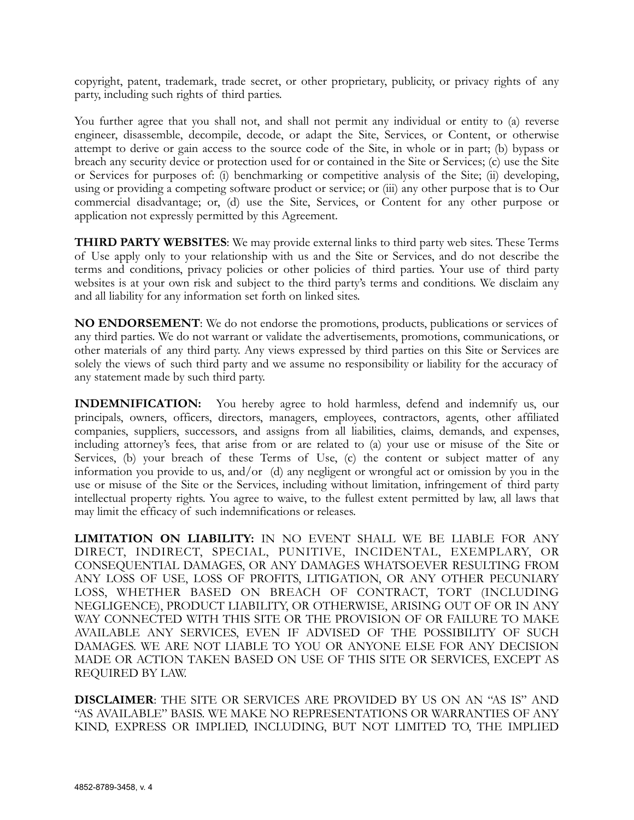copyright, patent, trademark, trade secret, or other proprietary, publicity, or privacy rights of any party, including such rights of third parties.

You further agree that you shall not, and shall not permit any individual or entity to (a) reverse engineer, disassemble, decompile, decode, or adapt the Site, Services, or Content, or otherwise attempt to derive or gain access to the source code of the Site, in whole or in part; (b) bypass or breach any security device or protection used for or contained in the Site or Services; (c) use the Site or Services for purposes of: (i) benchmarking or competitive analysis of the Site; (ii) developing, using or providing a competing software product or service; or (iii) any other purpose that is to Our commercial disadvantage; or, (d) use the Site, Services, or Content for any other purpose or application not expressly permitted by this Agreement.

**THIRD PARTY WEBSITES**: We may provide external links to third party web sites. These Terms of Use apply only to your relationship with us and the Site or Services, and do not describe the terms and conditions, privacy policies or other policies of third parties. Your use of third party websites is at your own risk and subject to the third party's terms and conditions. We disclaim any and all liability for any information set forth on linked sites.

**NO ENDORSEMENT**: We do not endorse the promotions, products, publications or services of any third parties. We do not warrant or validate the advertisements, promotions, communications, or other materials of any third party. Any views expressed by third parties on this Site or Services are solely the views of such third party and we assume no responsibility or liability for the accuracy of any statement made by such third party.

**INDEMNIFICATION:** You hereby agree to hold harmless, defend and indemnify us, our principals, owners, officers, directors, managers, employees, contractors, agents, other affiliated companies, suppliers, successors, and assigns from all liabilities, claims, demands, and expenses, including attorney's fees, that arise from or are related to (a) your use or misuse of the Site or Services, (b) your breach of these Terms of Use, (c) the content or subject matter of any information you provide to us, and/or (d) any negligent or wrongful act or omission by you in the use or misuse of the Site or the Services, including without limitation, infringement of third party intellectual property rights. You agree to waive, to the fullest extent permitted by law, all laws that may limit the efficacy of such indemnifications or releases.

**LIMITATION ON LIABILITY:** IN NO EVENT SHALL WE BE LIABLE FOR ANY DIRECT, INDIRECT, SPECIAL, PUNITIVE, INCIDENTAL, EXEMPLARY, OR CONSEQUENTIAL DAMAGES, OR ANY DAMAGES WHATSOEVER RESULTING FROM ANY LOSS OF USE, LOSS OF PROFITS, LITIGATION, OR ANY OTHER PECUNIARY LOSS, WHETHER BASED ON BREACH OF CONTRACT, TORT (INCLUDING NEGLIGENCE), PRODUCT LIABILITY, OR OTHERWISE, ARISING OUT OF OR IN ANY WAY CONNECTED WITH THIS SITE OR THE PROVISION OF OR FAILURE TO MAKE AVAILABLE ANY SERVICES, EVEN IF ADVISED OF THE POSSIBILITY OF SUCH DAMAGES. WE ARE NOT LIABLE TO YOU OR ANYONE ELSE FOR ANY DECISION MADE OR ACTION TAKEN BASED ON USE OF THIS SITE OR SERVICES, EXCEPT AS REQUIRED BY LAW.

**DISCLAIMER**: THE SITE OR SERVICES ARE PROVIDED BY US ON AN "AS IS" AND "AS AVAILABLE" BASIS. WE MAKE NO REPRESENTATIONS OR WARRANTIES OF ANY KIND, EXPRESS OR IMPLIED, INCLUDING, BUT NOT LIMITED TO, THE IMPLIED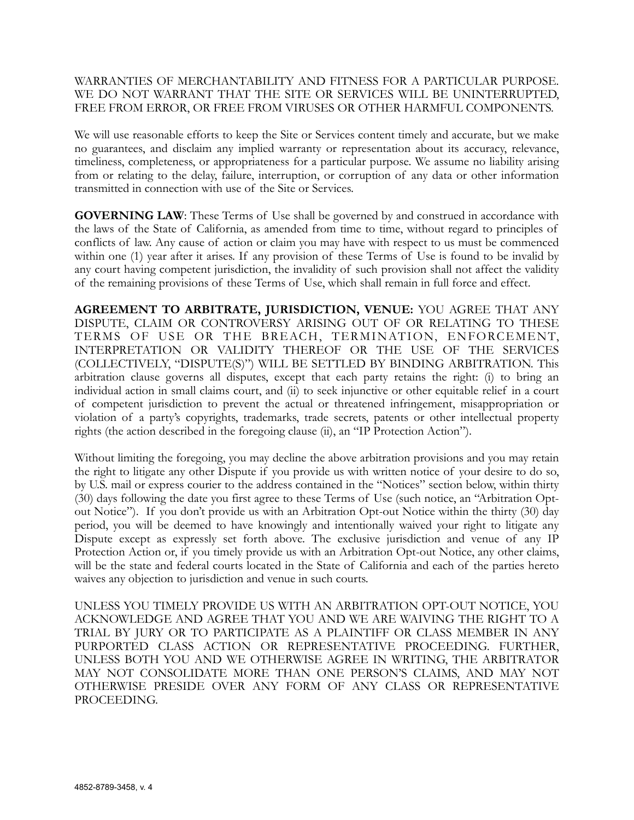## WARRANTIES OF MERCHANTABILITY AND FITNESS FOR A PARTICULAR PURPOSE. WE DO NOT WARRANT THAT THE SITE OR SERVICES WILL BE UNINTERRUPTED, FREE FROM ERROR, OR FREE FROM VIRUSES OR OTHER HARMFUL COMPONENTS.

We will use reasonable efforts to keep the Site or Services content timely and accurate, but we make no guarantees, and disclaim any implied warranty or representation about its accuracy, relevance, timeliness, completeness, or appropriateness for a particular purpose. We assume no liability arising from or relating to the delay, failure, interruption, or corruption of any data or other information transmitted in connection with use of the Site or Services.

**GOVERNING LAW**: These Terms of Use shall be governed by and construed in accordance with the laws of the State of California, as amended from time to time, without regard to principles of conflicts of law. Any cause of action or claim you may have with respect to us must be commenced within one (1) year after it arises. If any provision of these Terms of Use is found to be invalid by any court having competent jurisdiction, the invalidity of such provision shall not affect the validity of the remaining provisions of these Terms of Use, which shall remain in full force and effect.

**AGREEMENT TO ARBITRATE, JURISDICTION, VENUE:** YOU AGREE THAT ANY DISPUTE, CLAIM OR CONTROVERSY ARISING OUT OF OR RELATING TO THESE TERMS OF USE OR THE BREACH, TERMINATION, ENFORCEMENT, INTERPRETATION OR VALIDITY THEREOF OR THE USE OF THE SERVICES (COLLECTIVELY, "DISPUTE(S)") WILL BE SETTLED BY BINDING ARBITRATION. This arbitration clause governs all disputes, except that each party retains the right: (i) to bring an individual action in small claims court, and (ii) to seek injunctive or other equitable relief in a court of competent jurisdiction to prevent the actual or threatened infringement, misappropriation or violation of a party's copyrights, trademarks, trade secrets, patents or other intellectual property rights (the action described in the foregoing clause (ii), an "IP Protection Action").

Without limiting the foregoing, you may decline the above arbitration provisions and you may retain the right to litigate any other Dispute if you provide us with written notice of your desire to do so, by U.S. mail or express courier to the address contained in the "Notices" section below, within thirty (30) days following the date you first agree to these Terms of Use (such notice, an "Arbitration Optout Notice"). If you don't provide us with an Arbitration Opt-out Notice within the thirty (30) day period, you will be deemed to have knowingly and intentionally waived your right to litigate any Dispute except as expressly set forth above. The exclusive jurisdiction and venue of any IP Protection Action or, if you timely provide us with an Arbitration Opt-out Notice, any other claims, will be the state and federal courts located in the State of California and each of the parties hereto waives any objection to jurisdiction and venue in such courts.

UNLESS YOU TIMELY PROVIDE US WITH AN ARBITRATION OPT-OUT NOTICE, YOU ACKNOWLEDGE AND AGREE THAT YOU AND WE ARE WAIVING THE RIGHT TO A TRIAL BY JURY OR TO PARTICIPATE AS A PLAINTIFF OR CLASS MEMBER IN ANY PURPORTED CLASS ACTION OR REPRESENTATIVE PROCEEDING. FURTHER, UNLESS BOTH YOU AND WE OTHERWISE AGREE IN WRITING, THE ARBITRATOR MAY NOT CONSOLIDATE MORE THAN ONE PERSON'S CLAIMS, AND MAY NOT OTHERWISE PRESIDE OVER ANY FORM OF ANY CLASS OR REPRESENTATIVE PROCEEDING.